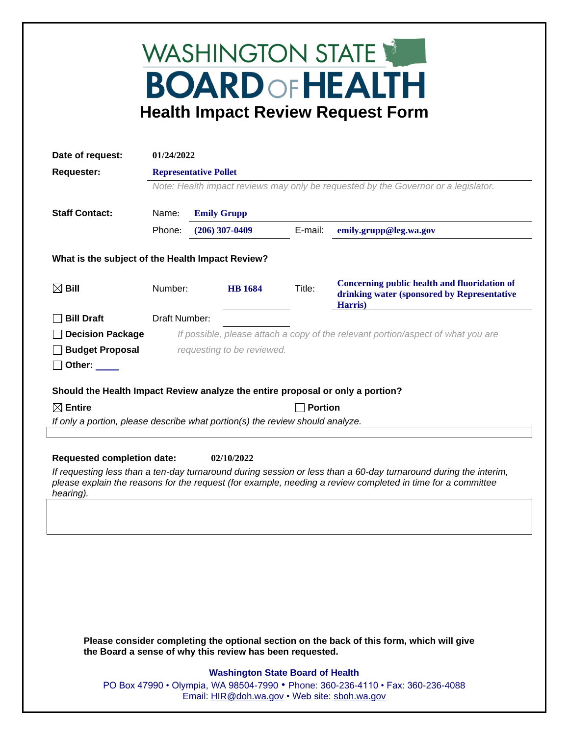## WASHINGTON STATE **BOARD OF HEALTH Health Impact Review Request Form**

| Date of request:                                                                                                                                                                                                                            | 01/24/2022                                                                         |  |                                                          |                |                                                                                                               |
|---------------------------------------------------------------------------------------------------------------------------------------------------------------------------------------------------------------------------------------------|------------------------------------------------------------------------------------|--|----------------------------------------------------------|----------------|---------------------------------------------------------------------------------------------------------------|
| <b>Requester:</b>                                                                                                                                                                                                                           | <b>Representative Pollet</b>                                                       |  |                                                          |                |                                                                                                               |
|                                                                                                                                                                                                                                             | Note: Health impact reviews may only be requested by the Governor or a legislator. |  |                                                          |                |                                                                                                               |
|                                                                                                                                                                                                                                             |                                                                                    |  |                                                          |                |                                                                                                               |
| <b>Staff Contact:</b>                                                                                                                                                                                                                       | Name:<br><b>Emily Grupp</b>                                                        |  |                                                          |                |                                                                                                               |
|                                                                                                                                                                                                                                             | Phone:                                                                             |  | $(206)$ 307-0409                                         | E-mail:        | emily.grupp@leg.wa.gov                                                                                        |
| What is the subject of the Health Impact Review?                                                                                                                                                                                            |                                                                                    |  |                                                          |                |                                                                                                               |
| $\boxtimes$ Bill                                                                                                                                                                                                                            | Number:                                                                            |  | <b>HB</b> 1684                                           | Title:         | <b>Concerning public health and fluoridation of</b><br>drinking water (sponsored by Representative<br>Harris) |
| <b>Bill Draft</b>                                                                                                                                                                                                                           | Draft Number:                                                                      |  |                                                          |                |                                                                                                               |
| <b>Decision Package</b>                                                                                                                                                                                                                     | If possible, please attach a copy of the relevant portion/aspect of what you are   |  |                                                          |                |                                                                                                               |
| <b>Budget Proposal</b>                                                                                                                                                                                                                      | requesting to be reviewed.                                                         |  |                                                          |                |                                                                                                               |
| Other:                                                                                                                                                                                                                                      |                                                                                    |  |                                                          |                |                                                                                                               |
|                                                                                                                                                                                                                                             |                                                                                    |  |                                                          |                |                                                                                                               |
| Should the Health Impact Review analyze the entire proposal or only a portion?                                                                                                                                                              |                                                                                    |  |                                                          |                |                                                                                                               |
| $\boxtimes$ Entire                                                                                                                                                                                                                          |                                                                                    |  |                                                          | <b>Portion</b> |                                                                                                               |
| If only a portion, please describe what portion(s) the review should analyze.                                                                                                                                                               |                                                                                    |  |                                                          |                |                                                                                                               |
|                                                                                                                                                                                                                                             |                                                                                    |  |                                                          |                |                                                                                                               |
| <b>Requested completion date:</b><br>02/10/2022                                                                                                                                                                                             |                                                                                    |  |                                                          |                |                                                                                                               |
| If requesting less than a ten-day turnaround during session or less than a 60-day turnaround during the interim,<br>please explain the reasons for the request (for example, needing a review completed in time for a committee<br>hearing) |                                                                                    |  |                                                          |                |                                                                                                               |
|                                                                                                                                                                                                                                             |                                                                                    |  |                                                          |                |                                                                                                               |
|                                                                                                                                                                                                                                             |                                                                                    |  |                                                          |                |                                                                                                               |
|                                                                                                                                                                                                                                             |                                                                                    |  |                                                          |                |                                                                                                               |
|                                                                                                                                                                                                                                             |                                                                                    |  |                                                          |                |                                                                                                               |
|                                                                                                                                                                                                                                             |                                                                                    |  |                                                          |                |                                                                                                               |
|                                                                                                                                                                                                                                             |                                                                                    |  |                                                          |                |                                                                                                               |
|                                                                                                                                                                                                                                             |                                                                                    |  |                                                          |                |                                                                                                               |
|                                                                                                                                                                                                                                             |                                                                                    |  |                                                          |                |                                                                                                               |
|                                                                                                                                                                                                                                             |                                                                                    |  | the Board a sense of why this review has been requested. |                | Please consider completing the optional section on the back of this form, which will give                     |
|                                                                                                                                                                                                                                             |                                                                                    |  | <b>Washington State Board of Health</b>                  |                |                                                                                                               |
|                                                                                                                                                                                                                                             |                                                                                    |  |                                                          |                | DO Boy 47000 • Olympia JMA 08504-7000 • Dhone: 360-236-4110 • Eav: 360-236-4088                               |

PO Box 47990 • Olympia, WA 98504-7990 • Phone: 360-236-4110 • Fax: 360-236-4088 Email: [HIR@doh.wa.gov](mailto:HIR@doh.wa.gov) • Web site: [sboh.wa.gov](http://www.sboh.wa.gov/hdcouncil/)